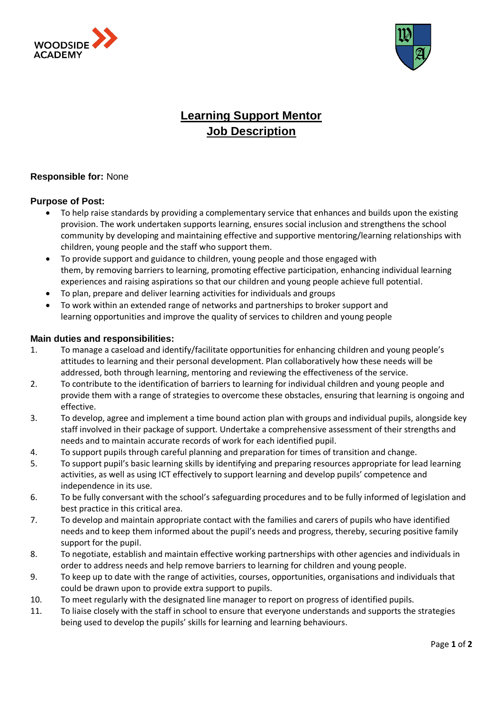



## **Learning Support Mentor Job Description**

## **Responsible for:** None

## **Purpose of Post:**

- To help raise standards by providing a complementary service that enhances and builds upon the existing provision. The work undertaken supports learning, ensures social inclusion and strengthens the school community by developing and maintaining effective and supportive mentoring/learning relationships with children, young people and the staff who support them.
- To provide support and guidance to children, young people and those engaged with them, by removing barriers to learning, promoting effective participation, enhancing individual learning experiences and raising aspirations so that our children and young people achieve full potential.
- To plan, prepare and deliver learning activities for individuals and groups
- To work within an extended range of networks and partnerships to broker support and learning opportunities and improve the quality of services to children and young people

## **Main duties and responsibilities:**

- 1. To manage a caseload and identify/facilitate opportunities for enhancing children and young people's attitudes to learning and their personal development. Plan collaboratively how these needs will be addressed, both through learning, mentoring and reviewing the effectiveness of the service.
- 2. To contribute to the identification of barriers to learning for individual children and young people and provide them with a range of strategies to overcome these obstacles, ensuring that learning is ongoing and effective.
- 3. To develop, agree and implement a time bound action plan with groups and individual pupils, alongside key staff involved in their package of support. Undertake a comprehensive assessment of their strengths and needs and to maintain accurate records of work for each identified pupil.
- 4. To support pupils through careful planning and preparation for times of transition and change.
- 5. To support pupil's basic learning skills by identifying and preparing resources appropriate for lead learning activities, as well as using ICT effectively to support learning and develop pupils' competence and independence in its use.
- 6. To be fully conversant with the school's safeguarding procedures and to be fully informed of legislation and best practice in this critical area.
- 7. To develop and maintain appropriate contact with the families and carers of pupils who have identified needs and to keep them informed about the pupil's needs and progress, thereby, securing positive family support for the pupil.
- 8. To negotiate, establish and maintain effective working partnerships with other agencies and individuals in order to address needs and help remove barriers to learning for children and young people.
- 9. To keep up to date with the range of activities, courses, opportunities, organisations and individuals that could be drawn upon to provide extra support to pupils.
- 10. To meet regularly with the designated line manager to report on progress of identified pupils.
- 11. To liaise closely with the staff in school to ensure that everyone understands and supports the strategies being used to develop the pupils' skills for learning and learning behaviours.